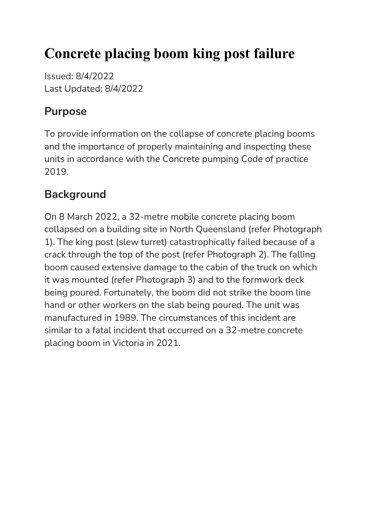# **Concrete placing boom king post failure**

Issued: 8/4/2022 Last Updated: 8/4/2022

## **Purpose**

To provide information on the collapse of concrete placing booms and the importance of properly maintaining and inspecting these units in accordance with the Concrete pumping Code of practice 2019.

# **Background**

On 8 March 2022, a 32-metre mobile concrete placing boom collapsed on a building site in North Queensland (refer Photograph 1). The king post (slew turret) catastrophically failed because of a crack through the top of the post (refer Photograph 2). The falling boom caused extensive damage to the cabin of the truck on which it was mounted (refer Photograph 3) and to the formwork deck being poured. Fortunately, the boom did not strike the boom line hand or other workers on the slab being poured. The unit was manufactured in 1989. The circumstances of this incident are similar to a fatal incident that occurred on a 32-metre concrete placing boom in Victoria in 2021.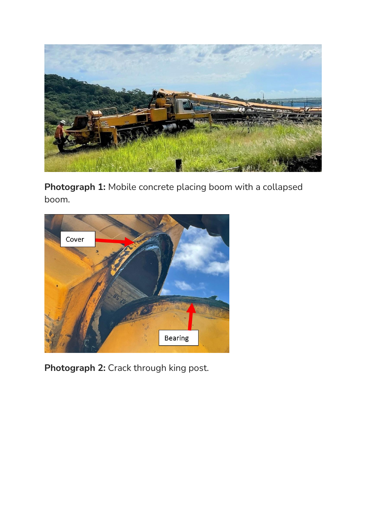

**Photograph 1:** Mobile concrete placing boom with a collapsed boom.



**Photograph 2:** Crack through king post.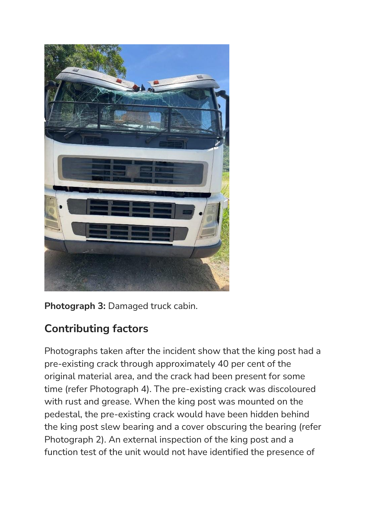

**Photograph 3:** Damaged truck cabin.

# **Contributing factors**

Photographs taken after the incident show that the king post had a pre-existing crack through approximately 40 per cent of the original material area, and the crack had been present for some time (refer Photograph 4). The pre-existing crack was discoloured with rust and grease. When the king post was mounted on the pedestal, the pre-existing crack would have been hidden behind the king post slew bearing and a cover obscuring the bearing (refer Photograph 2). An external inspection of the king post and a function test of the unit would not have identified the presence of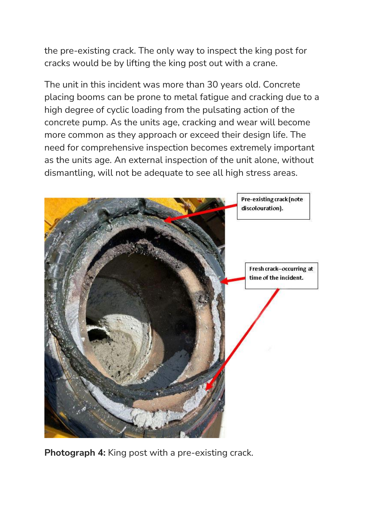the pre-existing crack. The only way to inspect the king post for cracks would be by lifting the king post out with a crane.

The unit in this incident was more than 30 years old. Concrete placing booms can be prone to metal fatigue and cracking due to a high degree of cyclic loading from the pulsating action of the concrete pump. As the units age, cracking and wear will become more common as they approach or exceed their design life. The need for comprehensive inspection becomes extremely important as the units age. An external inspection of the unit alone, without dismantling, will not be adequate to see all high stress areas.



**Photograph 4:** King post with a pre-existing crack.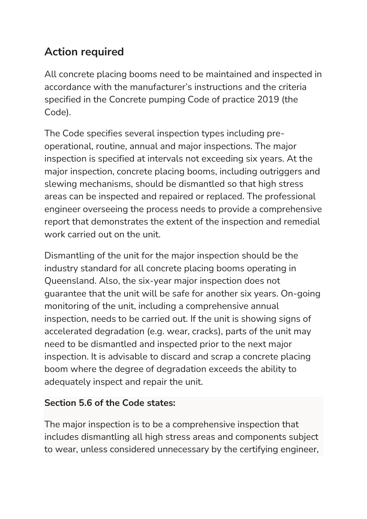## **Action required**

All concrete placing booms need to be maintained and inspected in accordance with the manufacturer's instructions and the criteria specified in the Concrete pumping Code of practice 2019 (the Code).

The Code specifies several inspection types including preoperational, routine, annual and major inspections. The major inspection is specified at intervals not exceeding six years. At the major inspection, concrete placing booms, including outriggers and slewing mechanisms, should be dismantled so that high stress areas can be inspected and repaired or replaced. The professional engineer overseeing the process needs to provide a comprehensive report that demonstrates the extent of the inspection and remedial work carried out on the unit.

Dismantling of the unit for the major inspection should be the industry standard for all concrete placing booms operating in Queensland. Also, the six-year major inspection does not guarantee that the unit will be safe for another six years. On-going monitoring of the unit, including a comprehensive annual inspection, needs to be carried out. If the unit is showing signs of accelerated degradation (e.g. wear, cracks), parts of the unit may need to be dismantled and inspected prior to the next major inspection. It is advisable to discard and scrap a concrete placing boom where the degree of degradation exceeds the ability to adequately inspect and repair the unit.

#### **Section 5.6 of the Code states:**

The major inspection is to be a comprehensive inspection that includes dismantling all high stress areas and components subject to wear, unless considered unnecessary by the certifying engineer,